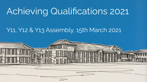## Achieving Qualifications 2021

#### Y11, Y12 & Y13 Assembly, 15th March 2021

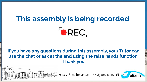# **This assembly is being recorded.** OREC.

#### **If you have any questions during this assembly, your Tutor can use the chat or ask at the end using the raise hands function. Thank you**

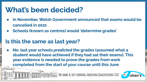## **What's been decided?**

- **● In November, Welsh Government announced that exams would be cancelled in 2021**
- **● Schools (known as centres) would 'determine grades'**

#### **Is this the same as last year?**

**● No: last year schools** *predicted* **the grades (assumed what a student would have achieved if they had sat their exams). This year evidence is needed to prove the grades from work completed from the start of your course until this June** 

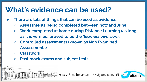#### **What's evidence can be used?**

- **● There are lots of things that can be used as evidence:**
	- **○ Assessments being completed between now and June**
	- **○ Work completed at home during Distance Learning (as long as it is verified: proved to be the** *'learners own work'***)**

- **○ Controlled assessments (known as Non Examined Assessments)**
- **○ Classwork**
- **○ Past mock exams and subject tests**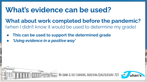#### **What's evidence can be used?**

**What about work completed before the pandemic?** (when I didn't know it would be used to determine my grade)

- **● This can be used to support the determined grade**
- *● 'Using evidence in a positive way'*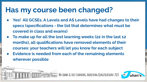#### **Has my course been changed?**

**● Yes! All GCSEs, A Levels and AS Levels have had changes to their specs (specifications - the list that determines what must be covered in class and exams)**

- **● To make up for all the lost learning weeks (22 in the last 12 months), all qualifications have removed elements of their courses: your teachers will let you know for each subject**
- **● Evidence is needed from each of the remaining elements wherever possible**

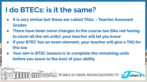#### **I do BTECs: is it the same?**

- **● It is very similar but these are called TAGs Teacher Assessed Grades**
- **● There have been some changes to the course too (like not having to cover all the set units): your teacher will let you know**
- **● If your BTEC has an exam element, your teacher will give a TAG for this too**

**No exams & Lost LearninG:Achieving Qualifications 2021**

**● Your aim in BTEC lessons is to complete the remaining units before you leave to the best of your ability**

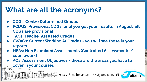#### **What are all the acronyms?**

- **● CDGs: Centre Determined Grades**
- **● PCDGS: Provisional CDGs: until you get your 'results' in August, all CDGs are provisional**
- **● TAGs: Teacher Assessed Grades**
- **● CWAGs: Current Working At Grades you will see these in your reports**
- **● NEAs: Non Examined Assessments (Controlled Assessments / coursework)**
- **● AOs: Assessment Objectives these are the areas you have to cover in your courses**

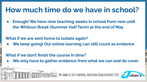#### **How much time do we have in school?**

**Enough! We have nine teaching weeks in school from now until the Whitsun Break (Summer Half Term) at the end of May**

#### **What if we are sent home to isolate again?**

**● We keep going! Our online learning can still count as evidence**

#### **What if we don't finish the course in time?**

**● We only have to gather evidence from what we can and do cover**

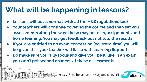## **What will be happening in lessons?**

- Lessons will be as normal (with all the H&S regulations too)
- **● Your teachers will continue covering the course and then set you assessments along the way: these may be tests, assignments and home learning. You may get feedback but not told the results**
- If you are entitled to an exam concession (eg. extra time) you will **be given this: your teacher will liaise with Learning Support**
- **● Do make sure you fully focus and give your best: like in an exam, you won't get second chances at these assessments**

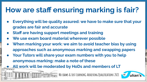## **How are staff ensuring marking is fair?**

- **● Everything will be quality assured: we have to make sure that your grades are fair and accurate**
- **● Staff are having support meetings and training**
- We use exam board material wherever possible
- **When marking your work: we aim to avoid teacher bias by using approaches such as anonymous marking and swapping papers**
- **● Your Tutors will share your exam numbers with you to help anonymous marking: make a note of these**
	- **● All work will be moderated by HoDs and members of LT**

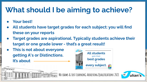## **What should I be aiming to achieve?**

**● Your best!**

 $-$ 

- **● All students have target grades for each subject: you will find these on your reports**
- **● Target grades are aspirational. Typically students achieve their target or one grade lower - that's a great result!**
- **● This is not about everyone getting A\*s or Distinctions. It's about**



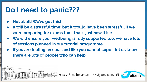#### **Do I need to panic???**

- **● Not at all! We've got this!**
- **● It will be a stressful time: but it would have been stressful if we were preparing for exams too - that's just how it is :(**
- We will ensure your wellbeing is fully supported too: we have lots **of sessions planned in our tutorial programme**
- **● If you are feeling anxious and like you cannot cope let us know there are lots of people who can help**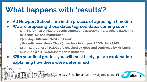## **What happens with 'results'?**

- **● All Newport Schools are in the process of agreeing a timeline**
- We are proposing these dates (agreed dates coming soon):
	- **○ 15th March 28th May: students completing assessments, teachers gathering evidence, QA and moderation**
	- **○ 29th May 6th June: Whitsun Break**
	- **○ 7th 10th June (Mon. Thurs.): teachers input your PCDGs into SIMS**
	- **○ 14th 17th June: all PCDGs are checked by HoDs and confirmed by Mr Curtis**
	- **○ 18th June (Fri.): PCDGs shared with students**
- With your final grades, you will most likely get an explanation **explaining how these were determined**

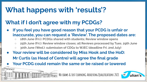## **What happens with 'results'?**

#### **What if I don't agree with my PCDGs?**

- **● If you feel you have good reason that your PCDG is unfair or inaccurate, you can request a 'Review'. The proposed dates are:** 
	- **○ 18th June (Fri.): PCDGs shared with students; Review window opens**
	- **○ 25th June (Fri.): Review window closes; all Reviews processed by Tues. 29th June**
	- **○ 30th June (Wed.): submission of CDGs to WJEC (deadline Fri. 2nd July)**
- **● Your review will be considered by Miss Hook and the HoD: Mr Curtis (as Head of Centre) will agree the final grade ● Your PCDG could remain the same or be raised or lowered**

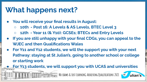## **What happens next?**

- **● You will receive your final results in August:**
	- **○ 10th Post 16: A Levels & AS Levels, BTEC Level 3**
	- **○ 12th Year 11 (& Y10): GCSEs; BTECs and Entry Levels**
- **● If you are still unhappy with your final CDGs, you can appeal to the WJEC and then Qualifications Wales**
- **● For Y11 and Y12 students, we will the support you with your next Pathway: staying at St Julian's, going to another school or college or starting work**

**● For Y13 students, we will support you with UCAS and universities**

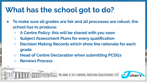## **What has the school got to do?**

- **● To make sure all grades are fair and all processes are robust, the school has to produce:**
	- **○ A Centre Policy: this will be shared with you soon**
	- **○ Subject Assessment Plans for every qualification**
	- **○ Decision Making Records which show the rationale for each grade**

- **○ Head of Centre Declaration when submitting PCDGs**
- **○ Reviews Process**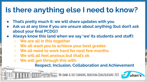### **Is there anything else I need to know?**

- **● That's pretty much it: we will share updates with you**
- **● Ask us at any time if you are unsure about anything (but don't ask about your final PCDG!)**
- **● Always know this (and when we say 'we' its students and staff):**
	- **○ We are all in this together**
	- **○ We all want you to achieve your best grades**
	- **○ We all need to work hard for next few months**
	- **○ We will all feel anxious but that's ok**
	- **○ We will get through this with:**

**Respect, Inclusion, Collaboration and Achievement**